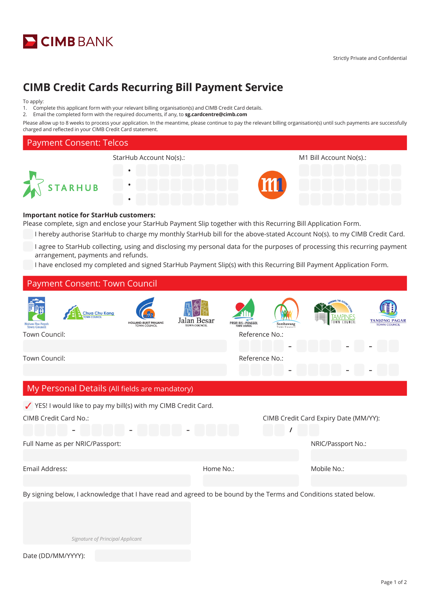

# **CIMB Credit Cards Recurring Bill Payment Service**

#### To apply:

1. Complete this applicant form with your relevant billing organisation(s) and CIMB Credit Card details.

2. Email the completed form with the required documents, if any, to **sg.cardcentre@cimb.com**

Please allow up to 8 weeks to process your application. In the meantime, please continue to pay the relevant billing organisation(s) until such payments are successfully charged and reflected in your CIMB Credit Card statement.



### **Important notice for StarHub customers:**

Please complete, sign and enclose your StarHub Payment Slip together with this Recurring Bill Application Form.

- I hereby authorise StarHub to charge my monthly StarHub bill for the above-stated Account No(s). to my CIMB Credit Card.
- I agree to StarHub collecting, using and disclosing my personal data for the purposes of processing this recurring payment arrangement, payments and refunds.
- I have enclosed my completed and signed StarHub Payment Slip(s) with this Recurring Bill Payment Application Form.

|                                                                 | <b>Payment Consent: Town Council</b> |                                  |                                                                 |                                    |           |                                            |           |  |                                                                                                                   |  |  |
|-----------------------------------------------------------------|--------------------------------------|----------------------------------|-----------------------------------------------------------------|------------------------------------|-----------|--------------------------------------------|-----------|--|-------------------------------------------------------------------------------------------------------------------|--|--|
| <b>Bishan-Toa Pavoh</b><br><b>Town Council</b><br>Town Council: |                                      | <b>Chua Chu Kang</b>             | <b>HOLLAND-BUKIT PANJANG</b><br><b>TOWN COUNCIL</b>             | Jalan Besar<br><b>TOWN COUNCIL</b> |           | <b>PASIR RIS-PUNGGOL</b><br>Reference No.: | Sembawang |  | OWN COUNCIL                                                                                                       |  |  |
|                                                                 |                                      |                                  |                                                                 |                                    |           |                                            |           |  |                                                                                                                   |  |  |
| Town Council:                                                   |                                      |                                  |                                                                 |                                    |           | Reference No.:                             |           |  |                                                                                                                   |  |  |
|                                                                 |                                      |                                  |                                                                 |                                    |           |                                            |           |  |                                                                                                                   |  |  |
|                                                                 |                                      |                                  | My Personal Details (All fields are mandatory)                  |                                    |           |                                            |           |  |                                                                                                                   |  |  |
|                                                                 |                                      |                                  | ✔ YES! I would like to pay my bill(s) with my CIMB Credit Card. |                                    |           |                                            |           |  |                                                                                                                   |  |  |
| CIMB Credit Card No.:                                           |                                      |                                  |                                                                 |                                    |           |                                            |           |  | CIMB Credit Card Expiry Date (MM/YY):                                                                             |  |  |
|                                                                 |                                      |                                  |                                                                 |                                    |           |                                            |           |  |                                                                                                                   |  |  |
|                                                                 | Full Name as per NRIC/Passport:      |                                  |                                                                 |                                    |           |                                            |           |  | NRIC/Passport No.:                                                                                                |  |  |
|                                                                 |                                      |                                  |                                                                 |                                    |           |                                            |           |  |                                                                                                                   |  |  |
| Email Address:                                                  |                                      |                                  |                                                                 |                                    | Home No.: |                                            |           |  | Mobile No.:                                                                                                       |  |  |
|                                                                 |                                      |                                  |                                                                 |                                    |           |                                            |           |  |                                                                                                                   |  |  |
|                                                                 |                                      |                                  |                                                                 |                                    |           |                                            |           |  | By signing below, I acknowledge that I have read and agreed to be bound by the Terms and Conditions stated below. |  |  |
|                                                                 |                                      |                                  |                                                                 |                                    |           |                                            |           |  |                                                                                                                   |  |  |
|                                                                 |                                      |                                  |                                                                 |                                    |           |                                            |           |  |                                                                                                                   |  |  |
|                                                                 |                                      | Signature of Principal Applicant |                                                                 |                                    |           |                                            |           |  |                                                                                                                   |  |  |
| Date (DD/MM/YYYY):                                              |                                      |                                  |                                                                 |                                    |           |                                            |           |  |                                                                                                                   |  |  |